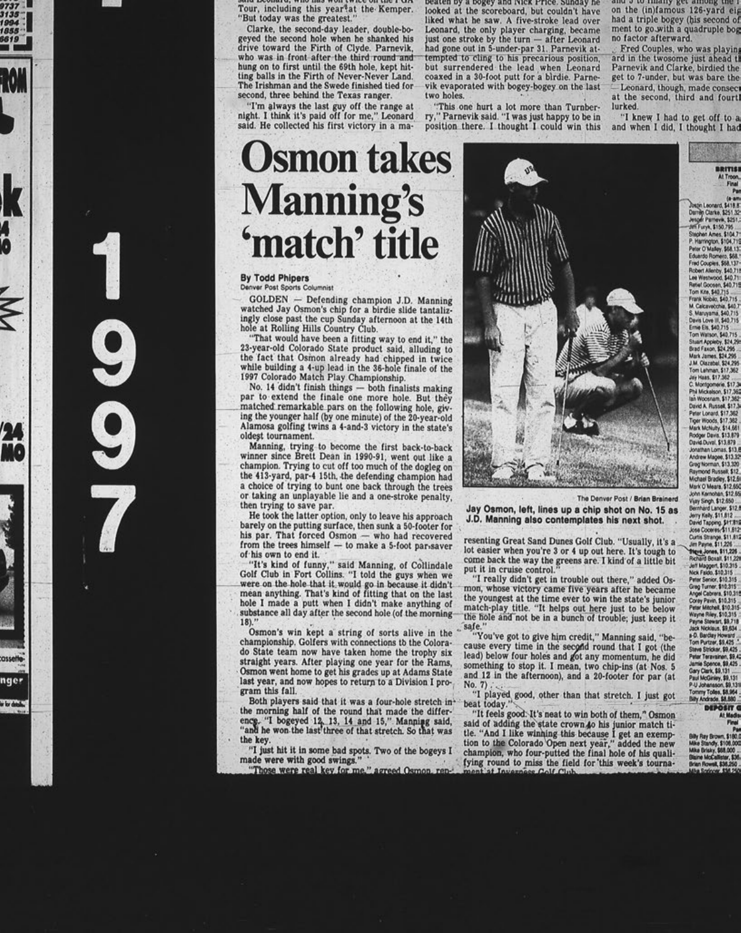Tour, including this year<sup>4</sup>at the Kemper. "But today was the greatest." Clarke, the second-day leader, double-bogeyed the second hole when he shanked his<br>drive toward the Firth of Clyde. Parnevik, who was in front after the third round and hung on to first until the 69th hole, kept hitting balls in the Firth of Never-Never Land. The Irishman and the Swede finished tied for second, three behind the Texas ranger. "I'm always the last guy off the range at<br>night. I think it's paid off for me," Leonard said. He collected his first victory in a ma-

 $14.10001$ 

beaten by a bogey and ivick Price, Sunday he looked at the scoreboard, but couldn't have liked what he saw. A five-stroke lead over Leonard, the only player charging, became just one stroke by the turn - after Leonard had gone out in 5-under-par 31. Parnevik attempted to cling to his precarious position, but surrendered the lead when Leonard coaxed in a 30-foot putt for a birdie. Parnevik evaporated with bogey-bogey on the last two holes.

"This one hurt a lot more than Turnber-<br>ry," Parnevik said. "I was just happy to be in position there. I thought I could win this and a ra imaily ket among the 1 on the (in)famous 126-yard eig had a triple bogey (his second of<br>ment to go with a quadruple bog no factor afterward.

Fred Couples, who was playing ard in the twosome just ahead th Parnevik and Clarke, birdied the get to 7-under, but was bare the - Leonard, though, made consect<br>at the second, third and fourtl lurked.

"I knew I had to get off to a and when I did, I thought I had

## **Osmon takes Manning's** 'match' title

**WHA HOO MAIL FAILE AIR** 

uc run

### By Todd Phipers<br>Denver Post Sports Columnist

GOLDEN - Defending champion J.D. Manning watched Jay Osmon's chip for a birdie slide tantalizingly close past the cup Sunday afternoon at the 14th hole at Rolling Hills Country Club.

"That would have been a fitting way to end it," the 23-year-old Colorado State product said, alluding to the fact that Osmon already had chipped in twice while building a 4-up lead in the 36-hole finale of the<br>1997 Colorado Match Play Championship.

No. 14 didn't finish things - both finalists making par to extend the finale one more hole. But they matched remarkable pars on the following hole, giving the younger half (by one minute) of the 20-year-old Alamosa golfing twins a 4-and-3 victory in the state's oldest tournament.

Manning, trying to become the first back-to-back winner since Brett Dean in 1990-91, went out like a champion. Trying to cut off too much of the dogleg on the 413-yard, par-4 15th, the defending champion had a choice of trying to bunt one back through the trees or taking an unplayable lie and a one-stroke penalty, then trying to save par.

He took the latter option, only to leave his approach barely on the putting surface, then sunk a 50-footer for his par. That forced Osmon - who had recovered<br>from the trees himself - to make a 5-foot par-saver of his own to end it.

"It's kind of funny," said Manning, of Collindale<br>Golf Club in Fort Collins. "I told the guys when we were on the hole that it would go in because it didn't<br>mean anything. That's kind of fitting that on the last hole I made a putt when I didn't make anything of substance all day after the second hole (of the morning- $18$ ).

Osmon's win kept a string of sorts alive in the championship. Golfers with connections to the Colorado State team now have taken home the trophy six straight years. After playing one year for the Rams, Osmon went home to get his grades up at Adams State last year, and now hopes to return to a Division I program this fall.

nger

a branch

Both players said that it was a four-hole stretch inthe morning half of the round that made the difference. "I bogeyed 12, 13, 14 and 15," Manning said, "and he won the last three of that stretch. So that was the key.

"I just hit it in some bad spots. Two of the bogeys I made were with good swings."

"Those were real key for me," agreed Osmon.

The Denver Post / Brian Brainerd

Jay Osmon, left, lines up a chip shot on No. 15 as J.D. Manning also contemplates his next shot.

resenting Great Sand Dunes Golf Club. "Usually, it's a lot easier when you're 3 or 4 up out here. It's tough to come back the way the greens are. I kind of a little bit<br>put it in cruise control."

"I really didn't get in trouble out there," added Osmon, whose victory came five years after he became the youngest at the time ever to win the state's junior<br>match-play title. "It helps out here just to be below the hole and not be in a bunch of trouble; just keep it

safe."<br>"You've got to give him credit," Manning said, "because every time in the second round that I got (the lead) below four holes and got any momentum, he did something to stop it. I mean, two chip-ins (at Nos. 5<br>and 12 in the afternoon), and a 20-footer for par (at No. 7)

"I played good, other than that stretch. I just got beat today.'

"It feels good. It's neat to win both of them," Osmon said of adding the state crown to his junior match title. "And I like winning this because I get an exemp-<br>tion to the Colorado Open next year," added the new champion, who four-putted the final hole of his quali-<br>fying round to miss the field for this week's tourna-<br>ment at Inverses Golf Club.



BRITISH

Ames. \$104.

Andrew Magee, \$13.3.<br>Greg Norman, \$13.320 laymond Russell, \$12<br>fichael Bradley, \$12,6 Mark O'Maara, \$12,650 John Kernohan, \$12.65<br>Vijay Singh, \$12,650

Bernhard Langer, \$12.6<br>Jerry Kelly, \$11,612<br>David Tapping, \$11,812<br>Jose Coceres, \$11,612 Curtis Strange, \$11,812<br>Jim Payne, \$11,225<br>"Stave, Jones, \$11,225<br>Richard Boxall, \$11,225 Pichard Boxall, \$11,221<br>Jeff Maggert, \$10,315<br>Nick Falab, \$10,315<br>Peter Senice, \$10,315<br>Greg Turner, \$10,315<br>Angel Cabrera, \$10,315<br>Peter Mitchell, \$10,315<br>Peter Mitchell, \$10,315 Wayne Riley, \$10,315<br>Payne Stewart, \$9,711<br>Jack Nicklaus, \$9,634

Jack Notiaus, \$9,534<br>#0. Banday Howard<br>Tom Purtew, \$9,425<br>Stave Stricker, \$9,425<br>Anne Stricker, \$9,425<br>Jamie Spence, \$9,425<br>Jamie Spence, \$9,425<br>Jamie Spence, \$9,425<br>Paul Modiales, \$9,131<br>Tommy Toles, \$8,954<br>Tommy Toles, \$ **DEPOSIT**